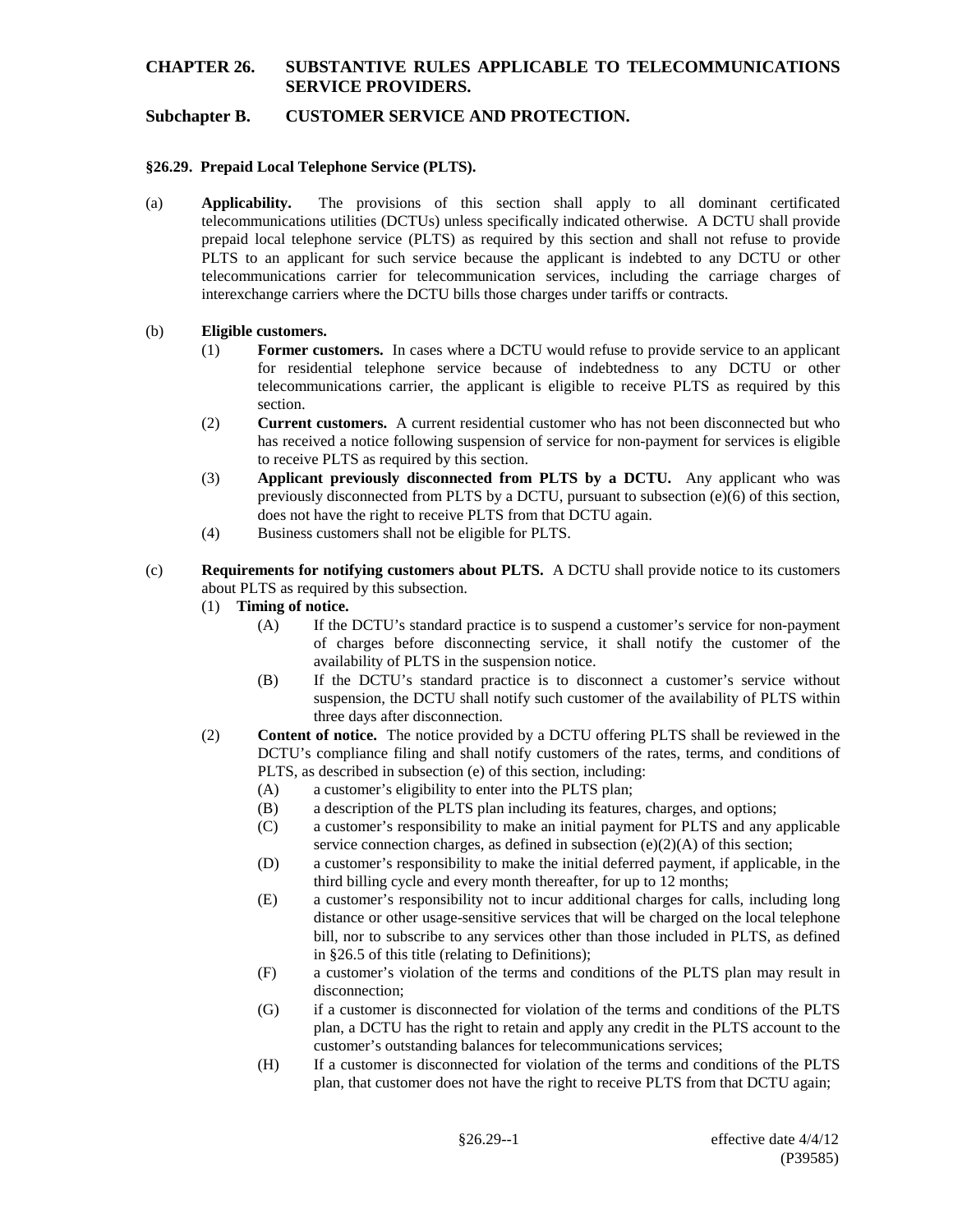### **Subchapter B. CUSTOMER SERVICE AND PROTECTION.**

#### **§26.29. Prepaid Local Telephone Service (PLTS).**

(a) **Applicability.** The provisions of this section shall apply to all dominant certificated telecommunications utilities (DCTUs) unless specifically indicated otherwise. A DCTU shall provide prepaid local telephone service (PLTS) as required by this section and shall not refuse to provide PLTS to an applicant for such service because the applicant is indebted to any DCTU or other telecommunications carrier for telecommunication services, including the carriage charges of interexchange carriers where the DCTU bills those charges under tariffs or contracts.

#### (b) **Eligible customers.**

- (1) **Former customers.** In cases where a DCTU would refuse to provide service to an applicant for residential telephone service because of indebtedness to any DCTU or other telecommunications carrier, the applicant is eligible to receive PLTS as required by this section.
- (2) **Current customers.** A current residential customer who has not been disconnected but who has received a notice following suspension of service for non-payment for services is eligible to receive PLTS as required by this section.
- (3) **Applicant previously disconnected from PLTS by a DCTU.** Any applicant who was previously disconnected from PLTS by a DCTU, pursuant to subsection (e)(6) of this section, does not have the right to receive PLTS from that DCTU again.
- (4) Business customers shall not be eligible for PLTS.
- (c) **Requirements for notifying customers about PLTS.** A DCTU shall provide notice to its customers about PLTS as required by this subsection.
	- (1) **Timing of notice.**
		- (A) If the DCTU's standard practice is to suspend a customer's service for non-payment of charges before disconnecting service, it shall notify the customer of the availability of PLTS in the suspension notice.
		- (B) If the DCTU's standard practice is to disconnect a customer's service without suspension, the DCTU shall notify such customer of the availability of PLTS within three days after disconnection.
	- (2) **Content of notice.** The notice provided by a DCTU offering PLTS shall be reviewed in the DCTU's compliance filing and shall notify customers of the rates, terms, and conditions of PLTS, as described in subsection (e) of this section, including:
		- (A) a customer's eligibility to enter into the PLTS plan;
		- (B) a description of the PLTS plan including its features, charges, and options;
		- (C) a customer's responsibility to make an initial payment for PLTS and any applicable service connection charges, as defined in subsection  $(e)(2)(A)$  of this section;
		- (D) a customer's responsibility to make the initial deferred payment, if applicable, in the third billing cycle and every month thereafter, for up to 12 months;
		- (E) a customer's responsibility not to incur additional charges for calls, including long distance or other usage-sensitive services that will be charged on the local telephone bill, nor to subscribe to any services other than those included in PLTS, as defined in §26.5 of this title (relating to Definitions);
		- (F) a customer's violation of the terms and conditions of the PLTS plan may result in disconnection;
		- (G) if a customer is disconnected for violation of the terms and conditions of the PLTS plan, a DCTU has the right to retain and apply any credit in the PLTS account to the customer's outstanding balances for telecommunications services;
		- (H) If a customer is disconnected for violation of the terms and conditions of the PLTS plan, that customer does not have the right to receive PLTS from that DCTU again;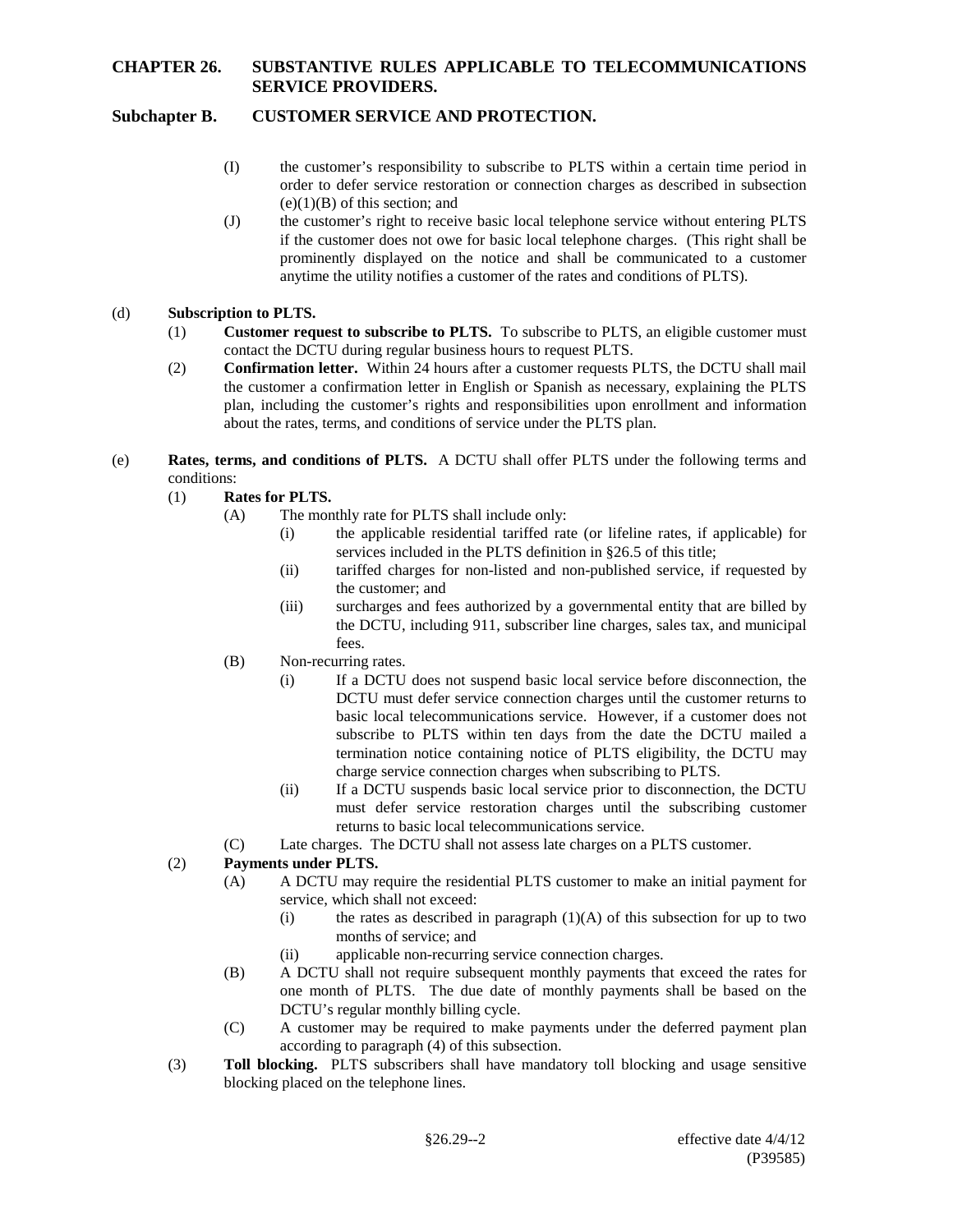# **Subchapter B. CUSTOMER SERVICE AND PROTECTION.**

- (I) the customer's responsibility to subscribe to PLTS within a certain time period in order to defer service restoration or connection charges as described in subsection  $(e)(1)(B)$  of this section; and
- (J) the customer's right to receive basic local telephone service without entering PLTS if the customer does not owe for basic local telephone charges. (This right shall be prominently displayed on the notice and shall be communicated to a customer anytime the utility notifies a customer of the rates and conditions of PLTS).

## (d) **Subscription to PLTS.**

- (1) **Customer request to subscribe to PLTS.** To subscribe to PLTS, an eligible customer must contact the DCTU during regular business hours to request PLTS.
- (2) **Confirmation letter.** Within 24 hours after a customer requests PLTS, the DCTU shall mail the customer a confirmation letter in English or Spanish as necessary, explaining the PLTS plan, including the customer's rights and responsibilities upon enrollment and information about the rates, terms, and conditions of service under the PLTS plan.
- (e) **Rates, terms, and conditions of PLTS.** A DCTU shall offer PLTS under the following terms and conditions:
	- (1) **Rates for PLTS.**
		- (A) The monthly rate for PLTS shall include only:
			- (i) the applicable residential tariffed rate (or lifeline rates, if applicable) for services included in the PLTS definition in §26.5 of this title;
			- (ii) tariffed charges for non-listed and non-published service, if requested by the customer; and
			- (iii) surcharges and fees authorized by a governmental entity that are billed by the DCTU, including 911, subscriber line charges, sales tax, and municipal fees.
		- (B) Non-recurring rates.
			- (i) If a DCTU does not suspend basic local service before disconnection, the DCTU must defer service connection charges until the customer returns to basic local telecommunications service. However, if a customer does not subscribe to PLTS within ten days from the date the DCTU mailed a termination notice containing notice of PLTS eligibility, the DCTU may charge service connection charges when subscribing to PLTS.
			- (ii) If a DCTU suspends basic local service prior to disconnection, the DCTU must defer service restoration charges until the subscribing customer returns to basic local telecommunications service.
		- (C) Late charges. The DCTU shall not assess late charges on a PLTS customer.

## (2) **Payments under PLTS.**

- (A) A DCTU may require the residential PLTS customer to make an initial payment for service, which shall not exceed:
	- (i) the rates as described in paragraph  $(1)(A)$  of this subsection for up to two months of service; and
	- (ii) applicable non-recurring service connection charges.
- (B) A DCTU shall not require subsequent monthly payments that exceed the rates for one month of PLTS. The due date of monthly payments shall be based on the DCTU's regular monthly billing cycle.
- (C) A customer may be required to make payments under the deferred payment plan according to paragraph (4) of this subsection.
- (3) **Toll blocking.** PLTS subscribers shall have mandatory toll blocking and usage sensitive blocking placed on the telephone lines.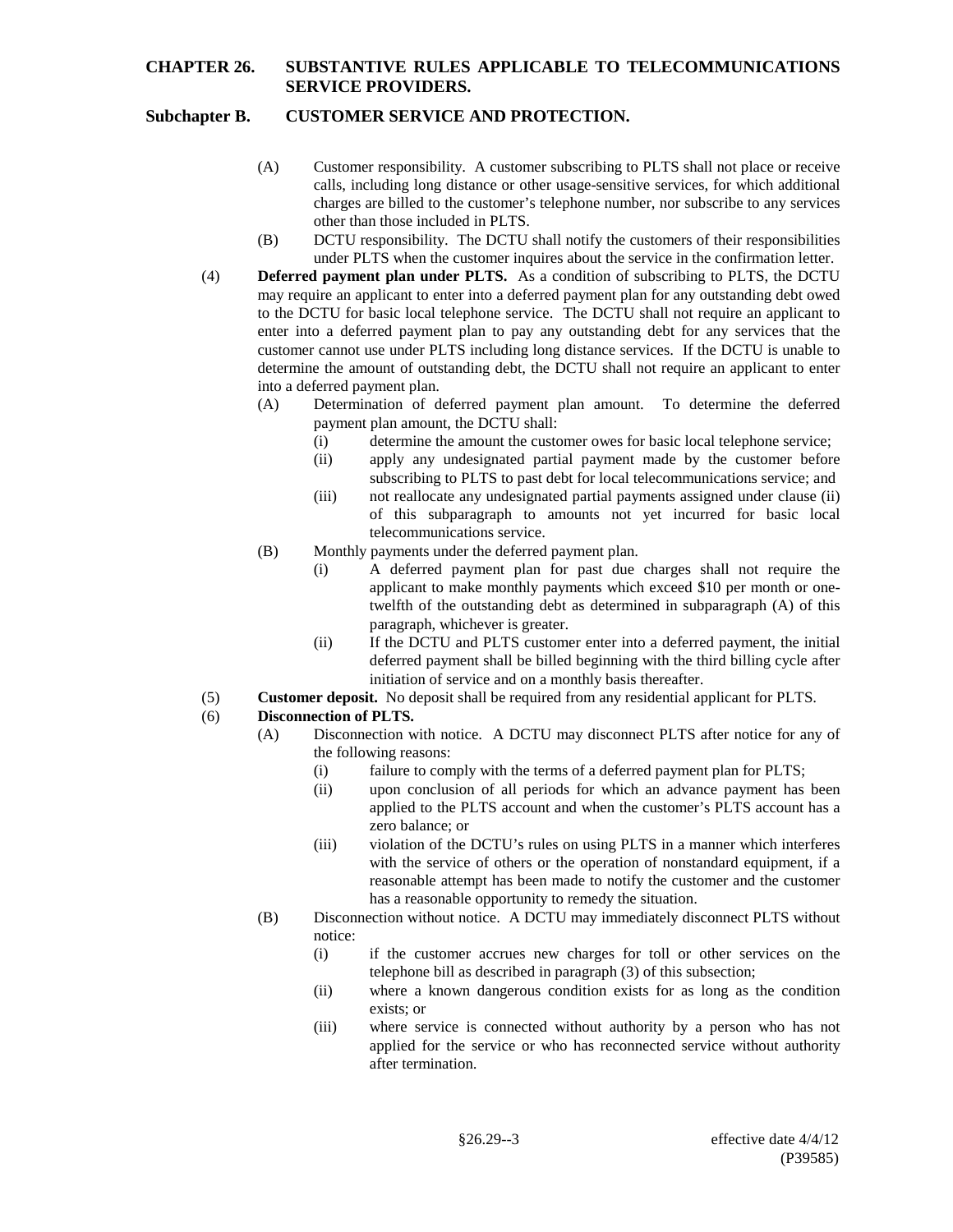## **Subchapter B. CUSTOMER SERVICE AND PROTECTION.**

- (A) Customer responsibility. A customer subscribing to PLTS shall not place or receive calls, including long distance or other usage-sensitive services, for which additional charges are billed to the customer's telephone number, nor subscribe to any services other than those included in PLTS.
- (B) DCTU responsibility. The DCTU shall notify the customers of their responsibilities under PLTS when the customer inquires about the service in the confirmation letter.
- (4) **Deferred payment plan under PLTS.** As a condition of subscribing to PLTS, the DCTU may require an applicant to enter into a deferred payment plan for any outstanding debt owed to the DCTU for basic local telephone service. The DCTU shall not require an applicant to enter into a deferred payment plan to pay any outstanding debt for any services that the customer cannot use under PLTS including long distance services. If the DCTU is unable to determine the amount of outstanding debt, the DCTU shall not require an applicant to enter into a deferred payment plan.
	- (A) Determination of deferred payment plan amount. To determine the deferred payment plan amount, the DCTU shall:
		- (i) determine the amount the customer owes for basic local telephone service;
		- (ii) apply any undesignated partial payment made by the customer before subscribing to PLTS to past debt for local telecommunications service; and
		- (iii) not reallocate any undesignated partial payments assigned under clause (ii) of this subparagraph to amounts not yet incurred for basic local telecommunications service.
	- (B) Monthly payments under the deferred payment plan.
		- (i) A deferred payment plan for past due charges shall not require the applicant to make monthly payments which exceed \$10 per month or onetwelfth of the outstanding debt as determined in subparagraph (A) of this paragraph, whichever is greater.
		- (ii) If the DCTU and PLTS customer enter into a deferred payment, the initial deferred payment shall be billed beginning with the third billing cycle after initiation of service and on a monthly basis thereafter.
- (5) **Customer deposit.** No deposit shall be required from any residential applicant for PLTS.

#### (6) **Disconnection of PLTS.**

- (A) Disconnection with notice. A DCTU may disconnect PLTS after notice for any of the following reasons:
	- (i) failure to comply with the terms of a deferred payment plan for PLTS;
	- (ii) upon conclusion of all periods for which an advance payment has been applied to the PLTS account and when the customer's PLTS account has a zero balance; or
	- (iii) violation of the DCTU's rules on using PLTS in a manner which interferes with the service of others or the operation of nonstandard equipment, if a reasonable attempt has been made to notify the customer and the customer has a reasonable opportunity to remedy the situation.
- (B) Disconnection without notice. A DCTU may immediately disconnect PLTS without notice:
	- (i) if the customer accrues new charges for toll or other services on the telephone bill as described in paragraph (3) of this subsection;
	- (ii) where a known dangerous condition exists for as long as the condition exists; or
	- (iii) where service is connected without authority by a person who has not applied for the service or who has reconnected service without authority after termination.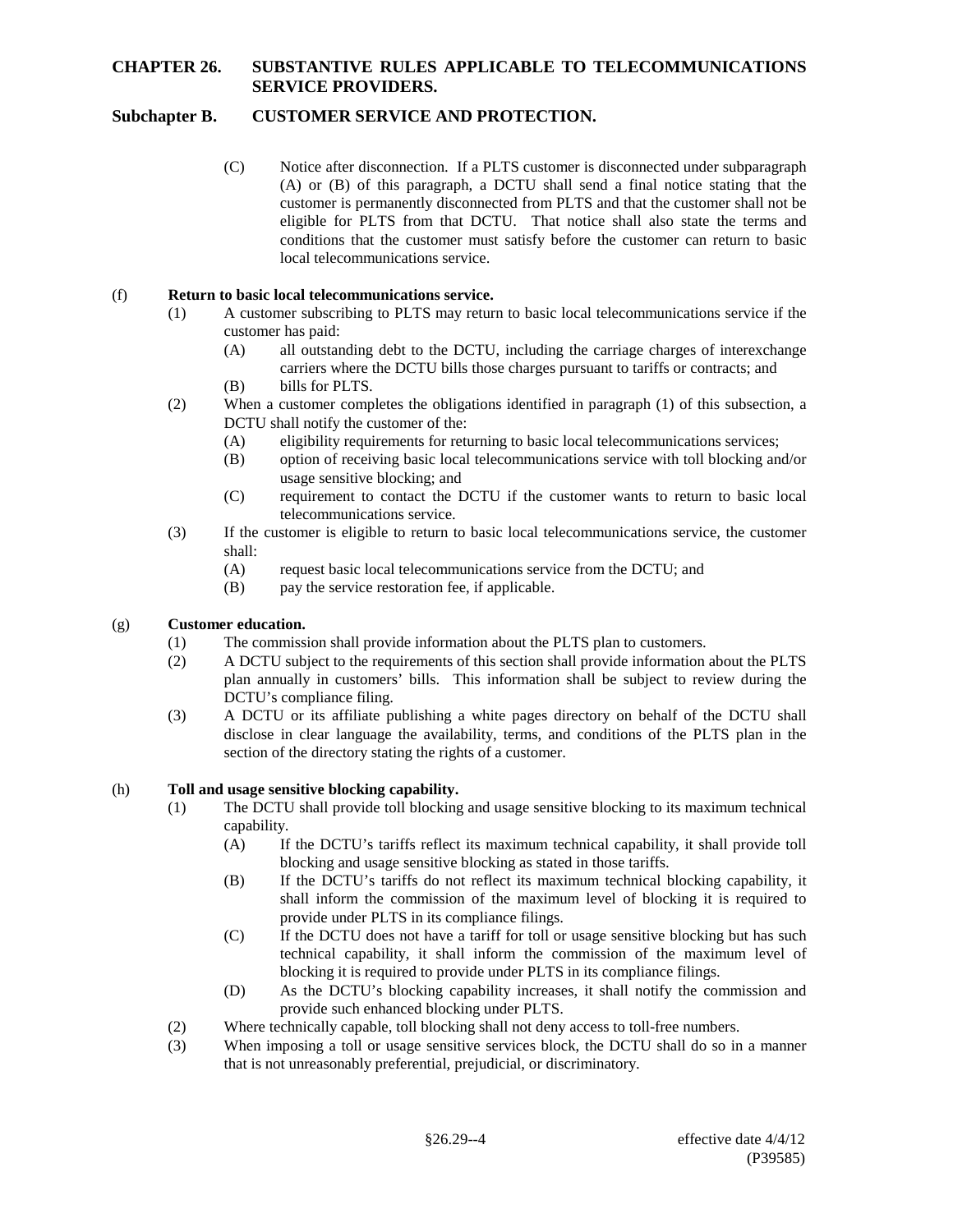# **Subchapter B. CUSTOMER SERVICE AND PROTECTION.**

(C) Notice after disconnection. If a PLTS customer is disconnected under subparagraph (A) or (B) of this paragraph, a DCTU shall send a final notice stating that the customer is permanently disconnected from PLTS and that the customer shall not be eligible for PLTS from that DCTU. That notice shall also state the terms and conditions that the customer must satisfy before the customer can return to basic local telecommunications service.

### (f) **Return to basic local telecommunications service.**

- (1) A customer subscribing to PLTS may return to basic local telecommunications service if the customer has paid:
	- (A) all outstanding debt to the DCTU, including the carriage charges of interexchange carriers where the DCTU bills those charges pursuant to tariffs or contracts; and (B) bills for PLTS.
- (2) When a customer completes the obligations identified in paragraph (1) of this subsection, a DCTU shall notify the customer of the:
	- (A) eligibility requirements for returning to basic local telecommunications services;
	- (B) option of receiving basic local telecommunications service with toll blocking and/or usage sensitive blocking; and
	- (C) requirement to contact the DCTU if the customer wants to return to basic local telecommunications service.
- (3) If the customer is eligible to return to basic local telecommunications service, the customer shall:
	- (A) request basic local telecommunications service from the DCTU; and
	- (B) pay the service restoration fee, if applicable.

#### (g) **Customer education.**

- (1) The commission shall provide information about the PLTS plan to customers.
- (2) A DCTU subject to the requirements of this section shall provide information about the PLTS plan annually in customers' bills. This information shall be subject to review during the DCTU's compliance filing.
- (3) A DCTU or its affiliate publishing a white pages directory on behalf of the DCTU shall disclose in clear language the availability, terms, and conditions of the PLTS plan in the section of the directory stating the rights of a customer.

#### (h) **Toll and usage sensitive blocking capability.**

- (1) The DCTU shall provide toll blocking and usage sensitive blocking to its maximum technical capability.
	- (A) If the DCTU's tariffs reflect its maximum technical capability, it shall provide toll blocking and usage sensitive blocking as stated in those tariffs.
	- (B) If the DCTU's tariffs do not reflect its maximum technical blocking capability, it shall inform the commission of the maximum level of blocking it is required to provide under PLTS in its compliance filings.
	- (C) If the DCTU does not have a tariff for toll or usage sensitive blocking but has such technical capability, it shall inform the commission of the maximum level of blocking it is required to provide under PLTS in its compliance filings.
	- (D) As the DCTU's blocking capability increases, it shall notify the commission and provide such enhanced blocking under PLTS.
- (2) Where technically capable, toll blocking shall not deny access to toll-free numbers.
- (3) When imposing a toll or usage sensitive services block, the DCTU shall do so in a manner that is not unreasonably preferential, prejudicial, or discriminatory.